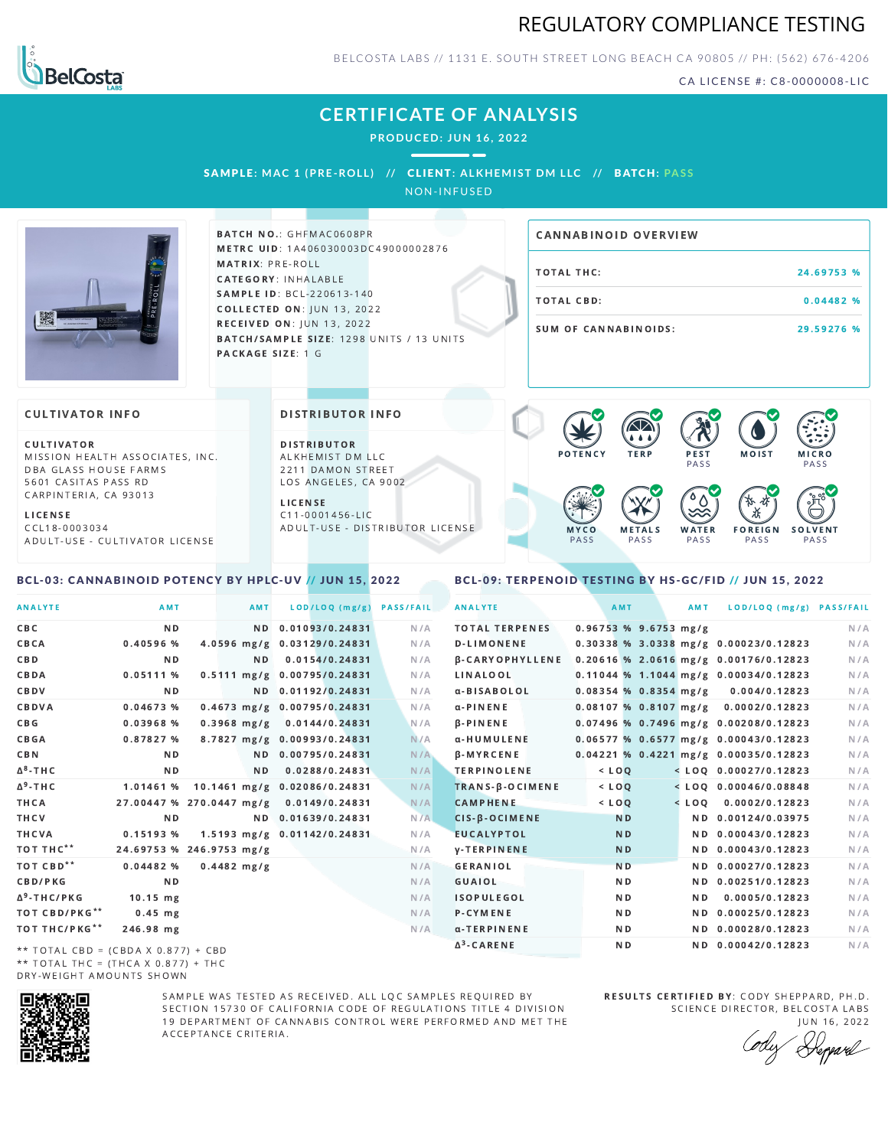



BELCOSTA LABS // 1131 E. SOUTH STREET LONG BEACH C A 90805 // PH: (562) 676-4206

CA LICENSE #: C8-0000008-LIC

# **CERTIFICATE OF ANALYSIS**

**PRODUCED: JUN 16, 2022**

 $\sim$   $\sim$ 

SAMPL E **: MAC 1 (PRE -ROL L ) //** CL I ENT**: A LKHEMI ST DM L LC //** BATCH**: PA S S**

NON-INFUSED



BATCH NO.: GHFMAC0608PR METRC UID: 1A406030003DC49000002876 MATRIX: PRE-ROLL CATEGORY: INHALABLE SAMPLE ID: BCL-220613-140 **COLLECTED ON: JUN 13, 2022** RECEIVED ON: JUN 13, 2022 BATCH/SAMPLE SIZE: 1298 UNITS / 13 UNITS PACKAGE SIZE: 1 G

# TOTAL THC: 24.69753 % TOTAL CBD: 0.04482 % SUM OF CANNABINOIDS: 29.59276 % CANNABINOID OVERVIEW

### **CULTIVATOR INFO**

CULTIVATOR MISSION HEALTH ASSOCIATES, INC. DBA GLASS HOUSE FARMS 5601 CASITAS PASS RD CARPINTERIA, CA 93013

L I C E N S E C C L 1 8 - 0 0 0 3 0 3 4 A D U L T - U S E - C U L T I V A T O R L I CENSE

<span id="page-0-0"></span>BCL-03: CANNABINOID POTENCY BY HPLC-UV // JUN 15, 2022

DISTRIBUTOR INFO

D I STRIBUTOR ALKHEMIST DM LLC 2211 DAMON STREET LOS ANGELES, CA 9002 L I C E N S E

 $C$  11-0001456-LIC A D U L T - U S E - D I STRIBUTOR LICENSE



<span id="page-0-1"></span>BCL-09: TERPENOID TESTING BY HS-GC/FID // JUN 15, 2022

| <b>ANALYTE</b>                      | AMT                      | AMT            | LOD/LOQ (mg/g)               | <b>PASS/FAIL</b> | <b>ANALYTE</b>         |                         | AMT            | AMT | LOD/LOQ (mg/g) PASS/FAIL                |     |
|-------------------------------------|--------------------------|----------------|------------------------------|------------------|------------------------|-------------------------|----------------|-----|-----------------------------------------|-----|
| CBC                                 | N <sub>D</sub>           |                | ND 0.01093/0.24831           | N/A              | <b>TOTAL TERPENES</b>  | $0.96753$ % 9.6753 mg/g |                |     |                                         | N/A |
| CBCA                                | 0.40596%                 |                | 4.0596 mg/g 0.03129/0.24831  | N/A              | <b>D-LIMONENE</b>      |                         |                |     | 0.30338 % 3.0338 mg/g 0.00023/0.12823   | N/A |
| C B D                               | N <sub>D</sub>           | N <sub>D</sub> | 0.0154/0.24831               | N/A              | <b>B-CARYOPHYLLENE</b> |                         |                |     | 0.20616 % 2.0616 mg/g 0.00176/0.12823   | N/A |
| CBDA                                | 0.05111%                 |                | 0.5111 mg/g 0.00795/0.24831  | N/A              | LINALOOL               |                         |                |     | $0.11044$ % 1.1044 mg/g 0.00034/0.12823 | N/A |
| CBDV                                | ND.                      |                | ND 0.01192/0.24831           | N/A              | α-BISABOLOL            | $0.08354$ % 0.8354 mg/g |                |     | 0.004/0.12823                           | N/A |
| CBDVA                               | 0.04673 %                |                | 0.4673 mg/g 0.00795/0.24831  | N/A              | $\alpha$ -PINENE       | $0.08107$ % 0.8107 mg/g |                |     | 0.0002/0.12823                          | N/A |
| C B G                               | 0.03968 %                | $0.3968$ mg/g  | 0.0144/0.24831               | N/A              | $\beta$ -PINENE        |                         |                |     | 0.07496 % 0.7496 mg/g 0.00208/0.12823   | N/A |
| CBGA                                | 0.87827%                 |                | 8.7827 mg/g 0.00993/0.24831  | N/A              | α-HUMULENE             |                         |                |     | $0.06577$ % 0.6577 mg/g 0.00043/0.12823 | N/A |
| C B N                               | ND.                      |                | ND 0.00795/0.24831           | N/A              | β-MYRCENE              |                         |                |     | 0.04221 % 0.4221 mg/g 0.00035/0.12823   | N/A |
| ∆ <sup>8</sup> -ТНС                 | N <sub>D</sub>           | ND.            | 0.0288/0.24831               | N/A              | <b>TERPINOLENE</b>     | $<$ LOQ                 |                |     | $<$ LOQ 0.00027/0.12823                 | N/A |
| Δ <sup>9</sup> -ΤΗ C                | 1.01461 %                |                | 10.1461 mg/g 0.02086/0.24831 | N/A              | TRANS-B-OCIMENE        | $<$ $LOO$               |                |     | $<$ LOO 0.00046/0.08848                 | N/A |
| THCA                                | 27.00447 % 270.0447 mg/g |                | 0.0149/0.24831               | N/A              | <b>CAMPHENE</b>        |                         | $<$ $LOO$      |     | $<$ LOO 0.0002/0.12823                  | N/A |
| THCV                                | N <sub>D</sub>           |                | ND 0.01639/0.24831           | N/A              | CIS-B-OCIMENE          |                         | <b>ND</b>      |     | ND 0.00124/0.03975                      | N/A |
| THCVA                               | 0.15193%                 |                | 1.5193 mg/g 0.01142/0.24831  | N/A              | <b>EUCALYPTOL</b>      |                         | N <sub>D</sub> |     | ND 0.00043/0.12823                      | N/A |
| тот тнс**                           | 24.69753 % 246.9753 mg/g |                |                              | N/A              | <b>V-TERPINENE</b>     |                         | N <sub>D</sub> |     | ND 0.00043/0.12823                      | N/A |
| ТОТ СВD**                           | 0.04482%                 | $0.4482$ mg/g  |                              | N/A              | <b>GERANIOL</b>        |                         | N <sub>D</sub> |     | ND 0.00027/0.12823                      | N/A |
| <b>CBD/PKG</b>                      | N <sub>D</sub>           |                |                              | N/A              | GUAIOL                 |                         | N <sub>D</sub> |     | ND 0.00251/0.12823                      | N/A |
| Δ <sup>9</sup> -THC/PKG             | $10.15$ mg               |                |                              | N/A              | <b>ISOPULEGOL</b>      |                         | ND.            | ND. | 0.0005/0.12823                          | N/A |
| ТОТ СВD/РКG**                       | $0.45$ mg                |                |                              | N/A              | P-CYMENE               |                         | ND.            |     | ND 0.00025/0.12823                      | N/A |
| ТОТ ТНС/РКG**                       | 246.98 mg                |                |                              | N/A              | α-TERPINENE            |                         | ND.            |     | ND 0.00028/0.12823                      | N/A |
| ** TOTAL CRD = (CRDA X 0 877) + CRD |                          |                |                              |                  | $\Delta^3$ -CARENE     |                         | N <sub>D</sub> |     | ND 0.00042/0.12823                      | N/A |

\*\* TOTAL CBD = (CBDA X 0.877) + CBD \*\* TOTAL THC = (THCA X  $0.877$ ) + THC DRY-WEIGHT AMOUNTS SHOWN



SAMPLE WAS TESTED AS RECEIVED. ALL LOC SAMPLES REQUIRED BY SECTION 15730 OF CALIFORNIA CODE OF REGULATIONS TITLE 4 DIVISION 19 DEPARTMENT OF CANNABIS CONTROL WERE PERFORMED AND MET THE A C C E P T A N C E C R I T E R I A.

RESULTS CERTIFIED BY: CODY SHEPPARD, PH.D. SCIENCE DIRECTOR, BELCOSTA LABS

JUN 16, 2022 &pard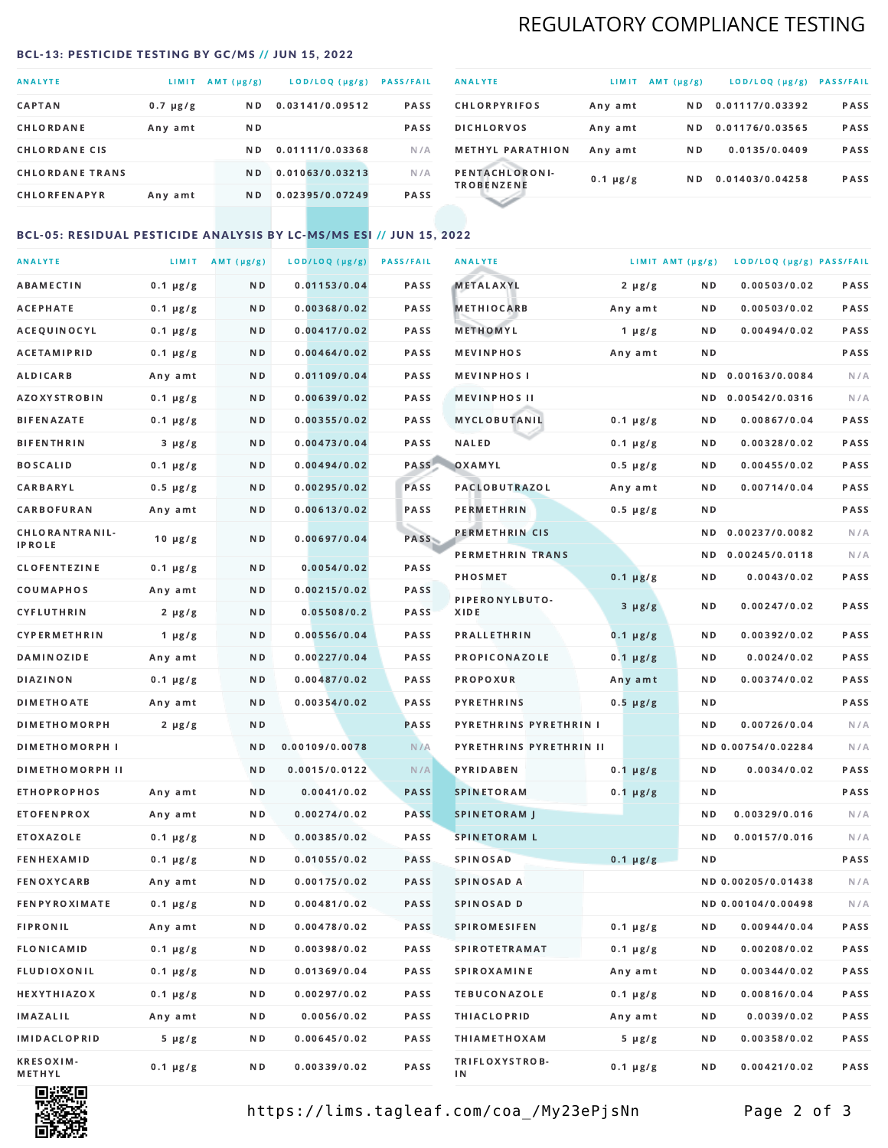# REGULATORY COMPLIANCE TESTING

#### <span id="page-1-0"></span>BCL-13: PESTICIDE TESTING BY GC/MS // JUN 15, 2022

| <b>ANALYTE</b>         | <b>LIMIT</b>  | AMT (µg/g)     | LOD/LOQ (µg/g)  | <b>PASS/FAIL</b> |
|------------------------|---------------|----------------|-----------------|------------------|
| <b>CAPTAN</b>          | $0.7 \mu g/g$ | N <sub>D</sub> | 0.03141/0.09512 | <b>PASS</b>      |
| CHLORDANE              | Any amt       | N D            |                 | <b>PASS</b>      |
| <b>CHLORDANE CIS</b>   |               | N D            | 0.01111/0.03368 | N/A              |
| <b>CHLORDANE TRANS</b> |               | N <sub>D</sub> | 0.01063/0.03213 | N/A              |
| <b>CHLORFENAPYR</b>    | Any amt       | N D            | 0.02395/0.07249 | <b>PASS</b>      |

| <b>ANALYTE</b>                      | LIMIT         | AMT $(\mu g/g)$ | LOD/LOQ (µg/g)  | <b>PASS/FAIL</b> |
|-------------------------------------|---------------|-----------------|-----------------|------------------|
| <b>CHLORPYRIFOS</b>                 | Any amt       | N <sub>D</sub>  | 0.01117/0.03392 | <b>PASS</b>      |
| <b>DICHLORVOS</b>                   | Any amt       | N D             | 0.01176/0.03565 | PASS             |
| <b>METHYL PARATHION</b>             | Any amt       | N D             | 0.0135/0.0409   | <b>PASS</b>      |
| PENTACHLORONI-<br><b>TROBENZENE</b> | $0.1 \mu g/g$ | ND.             | 0.01403/0.04258 | <b>PASS</b>      |
|                                     |               |                 |                 |                  |

## BCL-05: RESIDUAL PESTICIDE ANALYSIS BY LC-MS/MS ESI // JUN 15, 2022

| <b>ANALYTE</b>             |               | LIMIT $AMT(\mu g/g)$ | LOD/LOQ (µg/g) | <b>PASS/FAIL</b> | <b>ANALYTE</b>          |               | LIMIT AMT (µg/g) | LOD/LOQ (µg/g) PASS/FAIL |      |
|----------------------------|---------------|----------------------|----------------|------------------|-------------------------|---------------|------------------|--------------------------|------|
| ABAMECTIN                  | $0.1 \mu g/g$ | N D                  | 0.01153/0.04   | PASS             | <b>METALAXYL</b>        | $2 \mu g/g$   | N D              | 0.00503/0.02             | PASS |
| АСЕРНАТЕ                   | $0.1 \mu g/g$ | N D                  | 0.00368/0.02   | <b>PASS</b>      | <b>METHIOCARB</b>       | Any amt       | ND               | 0.00503/0.02             | PASS |
| ACEQUINOCYL                | $0.1 \mu g/g$ | N D                  | 0.00417/0.02   | PASS             | METHOMYL                | 1 $\mu$ g/g   | N D              | 0.00494/0.02             | PASS |
| <b>ACETAMIPRID</b>         | $0.1 \mu g/g$ | N D                  | 0.00464/0.02   | PASS             | <b>MEVINPHOS</b>        | Any amt       | N D              |                          | PASS |
| ALDICARB                   | Any amt       | ND.                  | 0.01109/0.04   | <b>PASS</b>      | <b>MEVINPHOS I</b>      |               | N D              | 0.00163/0.0084           | N/A  |
| <b>AZOXYSTROBIN</b>        | $0.1 \mu g/g$ | N D                  | 0.00639/0.02   | PASS             | <b>MEVINPHOS II</b>     |               | N D              | 0.00542/0.0316           | N/A  |
| <b>BIFENAZATE</b>          | $0.1 \mu g/g$ | N D                  | 0.00355/0.02   | PASS             | MYCLOBUTANIL            | $0.1 \mu g/g$ | N D              | 0.00867/0.04             | PASS |
| <b>BIFENTHRIN</b>          | $3 \mu g/g$   | N D                  | 0.00473/0.04   | PASS             | <b>NALED</b>            | $0.1 \mu g/g$ | N D              | 0.00328/0.02             | PASS |
| <b>BOSCALID</b>            | $0.1 \mu g/g$ | N D                  | 0.00494/0.02   | PASS             | OXAMYL                  | $0.5 \mu g/g$ | N D              | 0.00455/0.02             | PASS |
| <b>CARBARYL</b>            | $0.5 \mu g/g$ | N D                  | 0.00295/0.02   | PASS             | <b>PACLOBUTRAZOL</b>    | Any amt       | N D              | 0.00714/0.04             | PASS |
| CARBOFURAN                 | Any amt       | N D                  | 0.00613/0.02   | PASS             | <b>PERMETHRIN</b>       | $0.5 \mu g/g$ | N D              |                          | PASS |
| CHLORANTRANIL-             | $10 \mu g/g$  | N D                  | 0.00697/0.04   | PASS             | PERMETHRIN CIS          |               | N D              | 0.00237/0.0082           | N/A  |
| <b>IPROLE</b>              |               |                      |                |                  | PERMETHRIN TRANS        |               |                  | ND 0.00245/0.0118        | N/A  |
| <b>CLOFENTEZINE</b>        | $0.1 \mu g/g$ | N D                  | 0.0054/0.02    | PASS             | <b>PHOSMET</b>          | $0.1 \mu g/g$ | N D              | 0.0043/0.02              | PASS |
| COUMAPHOS                  | Any amt       | N D                  | 0.00215/0.02   | <b>PASS</b>      | PIPERONYLBUTO-          | $3 \mu g/g$   | N D              | 0.00247/0.02             | PASS |
| CYFLUTHRIN                 | $2 \mu g/g$   | N D                  | 0.05508/0.2    | <b>PASS</b>      | XIDE                    |               |                  |                          |      |
| CYPERMETHRIN               | $1 \mu g/g$   | N D                  | 0.00556/0.04   | PASS             | <b>PRALLETHRIN</b>      | $0.1 \mu g/g$ | N D              | 0.00392/0.02             | PASS |
| <b>DAMINOZIDE</b>          | Any amt       | N D                  | 0.00227/0.04   | PASS             | PROPICONAZOLE           | $0.1 \mu g/g$ | N D              | 0.0024/0.02              | PASS |
| DIAZINON                   | $0.1 \mu g/g$ | N D                  | 0.00487/0.02   | PASS             | PROPOXUR                | Any amt       | N D              | 0.00374/0.02             | PASS |
| <b>DIMETHOATE</b>          | Any amt       | N D                  | 0.00354/0.02   | PASS             | <b>PYRETHRINS</b>       | $0.5 \mu g/g$ | N D              |                          | PASS |
| <b>DIMETHOMORPH</b>        | $2 \mu g/g$   | N D                  |                | <b>PASS</b>      | PYRETHRINS PYRETHRIN I  |               | N D              | 0.00726/0.04             | N/A  |
| <b>DIMETHOMORPH I</b>      |               | N D                  | 0.00109/0.0078 | N/A              | PYRETHRINS PYRETHRIN II |               |                  | ND 0.00754/0.02284       | N/A  |
| <b>DIMETHOMORPH II</b>     |               | N D                  | 0.0015/0.0122  | N/A              | <b>PYRIDABEN</b>        | $0.1 \mu g/g$ | N D              | 0.0034/0.02              | PASS |
| <b>ETHOPROPHOS</b>         | Any amt       | N D                  | 0.0041/0.02    | <b>PASS</b>      | <b>SPINETORAM</b>       | $0.1 \mu g/g$ | N D              |                          | PASS |
| <b>ETOFENPROX</b>          | Any amt       | N D                  | 0.00274/0.02   | <b>PASS</b>      | <b>SPINETORAM J</b>     |               | N D              | 0.00329/0.016            | N/A  |
| ETOXAZOLE                  | $0.1 \mu g/g$ | N D                  | 0.00385/0.02   | <b>PASS</b>      | <b>SPINETORAM L</b>     |               | N D              | 0.00157/0.016            | N/A  |
| <b>FENHEXAMID</b>          | $0.1 \mu g/g$ | N D                  | 0.01055/0.02   | <b>PASS</b>      | <b>SPINOSAD</b>         | $0.1 \mu g/g$ | N D              |                          | PASS |
| FENOXYCARB                 | Any amt       | N D                  | 0.00175/0.02   | <b>PASS</b>      | SPINOSAD A              |               |                  | ND 0.00205/0.01438       | N/A  |
| <b>FENPYROXIMATE</b>       | $0.1 \mu g/g$ | N D                  | 0.00481/0.02   | PASS             | SPINOSAD D              |               |                  | ND 0.00104/0.00498       | N/A  |
| <b>FIPRONIL</b>            | Any amt       | N D                  | 0.00478/0.02   | PASS             | <b>SPIROMESIFEN</b>     | $0.1 \mu g/g$ | N D              | 0.00944/0.04             | PASS |
| <b>FLONICAMID</b>          | $0.1 \mu g/g$ | N D                  | 0.00398/0.02   | PASS             | <b>SPIROTETRAMAT</b>    | $0.1 \mu g/g$ | N D              | 0.00208/0.02             | PASS |
| FLUDIOXONIL                | $0.1 \mu g/g$ | N D                  | 0.01369/0.04   | PASS             | <b>SPIROXAMINE</b>      | Any amt       | N D              | 0.00344/0.02             | PASS |
| <b>HEXYTHIAZOX</b>         | $0.1 \mu g/g$ | N D                  | 0.00297/0.02   | PASS             | <b>TEBUCONAZOLE</b>     | $0.1 \mu g/g$ | N D              | 0.00816/0.04             | PASS |
| IMAZALIL                   | Any amt       | N D                  | 0.0056/0.02    | PASS             | <b>THIACLOPRID</b>      | Any amt       | N D              | 0.0039/0.02              | PASS |
| <b>IMIDACLOPRID</b>        | $5 \mu g/g$   | N D                  | 0.00645/0.02   | PASS             | <b>THIAMETHOXAM</b>     | $5 \mu g/g$   | N D              | 0.00358/0.02             | PASS |
| <b>KRESOXIM-</b><br>METHYL | $0.1 \mu g/g$ | N D                  | 0.00339/0.02   | PASS             | TRIFLOXYSTROB-<br>ΙN    | $0.1 \mu g/g$ | N D              | 0.00421/0.02             | PASS |